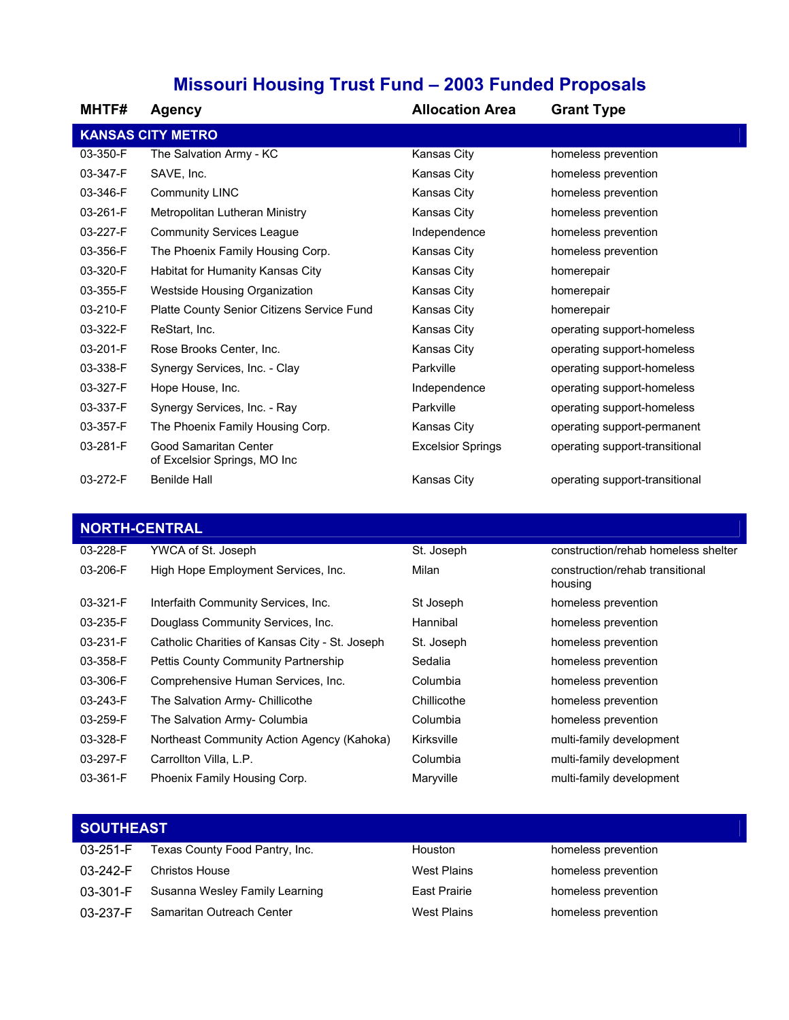## **Missouri Housing Trust Fund – 2003 Funded Proposals**

| <b>MHTF#</b> | <b>Agency</b>                                         | <b>Allocation Area</b>   | <b>Grant Type</b>              |
|--------------|-------------------------------------------------------|--------------------------|--------------------------------|
|              | <b>KANSAS CITY METRO</b>                              |                          |                                |
| 03-350-F     | The Salvation Army - KC                               | Kansas City              | homeless prevention            |
| 03-347-F     | SAVE, Inc.                                            | Kansas City              | homeless prevention            |
| 03-346-F     | <b>Community LINC</b>                                 | Kansas City              | homeless prevention            |
| 03-261-F     | Metropolitan Lutheran Ministry                        | Kansas City              | homeless prevention            |
| 03-227-F     | <b>Community Services League</b>                      | Independence             | homeless prevention            |
| 03-356-F     | The Phoenix Family Housing Corp.                      | Kansas City              | homeless prevention            |
| 03-320-F     | Habitat for Humanity Kansas City                      | Kansas City              | homerepair                     |
| 03-355-F     | Westside Housing Organization                         | Kansas City              | homerepair                     |
| 03-210-F     | Platte County Senior Citizens Service Fund            | Kansas City              | homerepair                     |
| 03-322-F     | ReStart, Inc.                                         | Kansas City              | operating support-homeless     |
| 03-201-F     | Rose Brooks Center, Inc.                              | Kansas City              | operating support-homeless     |
| 03-338-F     | Synergy Services, Inc. - Clay                         | Parkville                | operating support-homeless     |
| 03-327-F     | Hope House, Inc.                                      | Independence             | operating support-homeless     |
| 03-337-F     | Synergy Services, Inc. - Ray                          | Parkville                | operating support-homeless     |
| 03-357-F     | The Phoenix Family Housing Corp.                      | Kansas City              | operating support-permanent    |
| 03-281-F     | Good Samaritan Center<br>of Excelsior Springs, MO Inc | <b>Excelsior Springs</b> | operating support-transitional |
| 03-272-F     | <b>Benilde Hall</b>                                   | Kansas City              | operating support-transitional |

## **NORTH-CENTRAL**

| 03-228-F | YWCA of St. Joseph                             | St. Joseph  | construction/rehab homeless shelter        |
|----------|------------------------------------------------|-------------|--------------------------------------------|
| 03-206-F | High Hope Employment Services, Inc.            | Milan       | construction/rehab transitional<br>housing |
| 03-321-F | Interfaith Community Services, Inc.            | St Joseph   | homeless prevention                        |
| 03-235-F | Douglass Community Services, Inc.              | Hannibal    | homeless prevention                        |
| 03-231-F | Catholic Charities of Kansas City - St. Joseph | St. Joseph  | homeless prevention                        |
| 03-358-F | Pettis County Community Partnership            | Sedalia     | homeless prevention                        |
| 03-306-F | Comprehensive Human Services, Inc.             | Columbia    | homeless prevention                        |
| 03-243-F | The Salvation Army- Chillicothe                | Chillicothe | homeless prevention                        |
| 03-259-F | The Salvation Army- Columbia                   | Columbia    | homeless prevention                        |
| 03-328-F | Northeast Community Action Agency (Kahoka)     | Kirksville  | multi-family development                   |
| 03-297-F | Carrollton Villa, L.P.                         | Columbia    | multi-family development                   |
| 03-361-F | Phoenix Family Housing Corp.                   | Maryville   | multi-family development                   |
|          |                                                |             |                                            |

| <b>SOUTHEAST</b> |                                |                    |                     |
|------------------|--------------------------------|--------------------|---------------------|
| $03 - 251 - F$   | Texas County Food Pantry, Inc. | Houston            | homeless prevention |
| 03-242-F         | <b>Christos House</b>          | <b>West Plains</b> | homeless prevention |
| 03-301-F         | Susanna Wesley Family Learning | East Prairie       | homeless prevention |
| 03-237-F         | Samaritan Outreach Center      | <b>West Plains</b> | homeless prevention |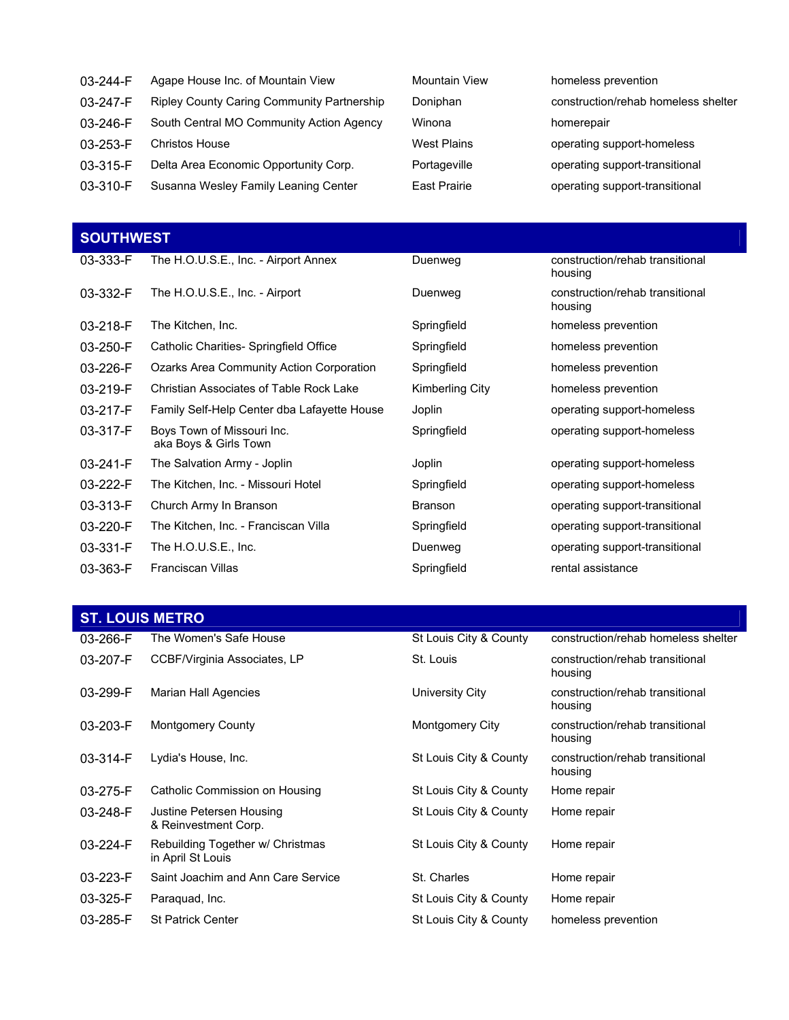| 03-244-F       | Agape House Inc. of Mountain View          | <b>Mountain View</b> | homeless prevention                 |
|----------------|--------------------------------------------|----------------------|-------------------------------------|
| 03-247-F       | Ripley County Caring Community Partnership | Doniphan             | construction/rehab homeless shelter |
| $03 - 246 - F$ | South Central MO Community Action Agency   | Winona               | homerepair                          |
| 03-253-F       | <b>Christos House</b>                      | <b>West Plains</b>   | operating support-homeless          |
| 03-315-F       | Delta Area Economic Opportunity Corp.      | Portageville         | operating support-transitional      |
| 03-310-F       | Susanna Wesley Family Leaning Center       | <b>East Prairie</b>  | operating support-transitional      |

| <b>SOUTHWEST</b> |                                                     |                 |                                            |  |
|------------------|-----------------------------------------------------|-----------------|--------------------------------------------|--|
| 03-333-F         | The H.O.U.S.E., Inc. - Airport Annex                | Duenweg         | construction/rehab transitional<br>housing |  |
| 03-332-F         | The H.O.U.S.E., Inc. - Airport                      | Duenweg         | construction/rehab transitional<br>housing |  |
| 03-218-F         | The Kitchen, Inc.                                   | Springfield     | homeless prevention                        |  |
| 03-250-F         | Catholic Charities-Springfield Office               | Springfield     | homeless prevention                        |  |
| 03-226-F         | Ozarks Area Community Action Corporation            | Springfield     | homeless prevention                        |  |
| 03-219-F         | Christian Associates of Table Rock Lake             | Kimberling City | homeless prevention                        |  |
| 03-217-F         | Family Self-Help Center dba Lafayette House         | Joplin          | operating support-homeless                 |  |
| 03-317-F         | Boys Town of Missouri Inc.<br>aka Boys & Girls Town | Springfield     | operating support-homeless                 |  |
| 03-241-F         | The Salvation Army - Joplin                         | Joplin          | operating support-homeless                 |  |
| 03-222-F         | The Kitchen, Inc. - Missouri Hotel                  | Springfield     | operating support-homeless                 |  |
| 03-313-F         | Church Army In Branson                              | <b>Branson</b>  | operating support-transitional             |  |
| 03-220-F         | The Kitchen, Inc. - Franciscan Villa                | Springfield     | operating support-transitional             |  |
| 03-331-F         | The H.O.U.S.E., Inc.                                | Duenweg         | operating support-transitional             |  |
| 03-363-F         | <b>Franciscan Villas</b>                            | Springfield     | rental assistance                          |  |

## **ST. LOUIS METRO**

| 03-266-F       | The Women's Safe House                                | St Louis City & County | construction/rehab homeless shelter        |
|----------------|-------------------------------------------------------|------------------------|--------------------------------------------|
| 03-207-F       | CCBF/Virginia Associates, LP                          | St. Louis              | construction/rehab transitional<br>housing |
| 03-299-F       | Marian Hall Agencies                                  | University City        | construction/rehab transitional<br>housing |
| $03 - 203 - F$ | <b>Montgomery County</b>                              | Montgomery City        | construction/rehab transitional<br>housing |
| $03 - 314 - F$ | Lydia's House, Inc.                                   | St Louis City & County | construction/rehab transitional<br>housing |
| 03-275-F       | Catholic Commission on Housing                        | St Louis City & County | Home repair                                |
| 03-248-F       | Justine Petersen Housing<br>& Reinvestment Corp.      | St Louis City & County | Home repair                                |
| $03-224-F$     | Rebuilding Together w/ Christmas<br>in April St Louis | St Louis City & County | Home repair                                |
| 03-223-F       | Saint Joachim and Ann Care Service                    | St. Charles            | Home repair                                |
| 03-325-F       | Paraguad, Inc.                                        | St Louis City & County | Home repair                                |
| 03-285-F       | <b>St Patrick Center</b>                              | St Louis City & County | homeless prevention                        |